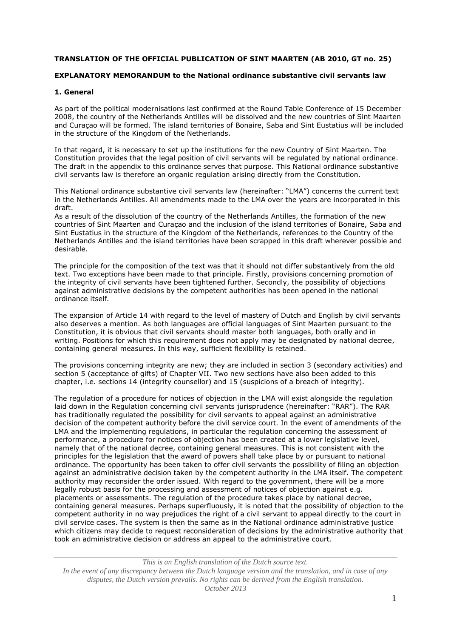### **TRANSLATION OF THE OFFICIAL PUBLICATION OF SINT MAARTEN (AB 2010, GT no. 25)**

## **EXPLANATORY MEMORANDUM to the National ordinance substantive civil servants law**

### **1. General**

As part of the political modernisations last confirmed at the Round Table Conference of 15 December 2008, the country of the Netherlands Antilles will be dissolved and the new countries of Sint Maarten and Curaçao will be formed. The island territories of Bonaire, Saba and Sint Eustatius will be included in the structure of the Kingdom of the Netherlands.

In that regard, it is necessary to set up the institutions for the new Country of Sint Maarten. The Constitution provides that the legal position of civil servants will be regulated by national ordinance. The draft in the appendix to this ordinance serves that purpose. This National ordinance substantive civil servants law is therefore an organic regulation arising directly from the Constitution.

This National ordinance substantive civil servants law (hereinafter: "LMA") concerns the current text in the Netherlands Antilles. All amendments made to the LMA over the years are incorporated in this draft.

As a result of the dissolution of the country of the Netherlands Antilles, the formation of the new countries of Sint Maarten and Curaçao and the inclusion of the island territories of Bonaire, Saba and Sint Eustatius in the structure of the Kingdom of the Netherlands, references to the Country of the Netherlands Antilles and the island territories have been scrapped in this draft wherever possible and desirable.

The principle for the composition of the text was that it should not differ substantively from the old text. Two exceptions have been made to that principle. Firstly, provisions concerning promotion of the integrity of civil servants have been tightened further. Secondly, the possibility of objections against administrative decisions by the competent authorities has been opened in the national ordinance itself.

The expansion of Article 14 with regard to the level of mastery of Dutch and English by civil servants also deserves a mention. As both languages are official languages of Sint Maarten pursuant to the Constitution, it is obvious that civil servants should master both languages, both orally and in writing. Positions for which this requirement does not apply may be designated by national decree, containing general measures. In this way, sufficient flexibility is retained.

The provisions concerning integrity are new; they are included in section 3 (secondary activities) and section 5 (acceptance of gifts) of Chapter VII. Two new sections have also been added to this chapter, i.e. sections 14 (integrity counsellor) and 15 (suspicions of a breach of integrity).

The regulation of a procedure for notices of objection in the LMA will exist alongside the regulation laid down in the Regulation concerning civil servants jurisprudence (hereinafter: "RAR"). The RAR has traditionally regulated the possibility for civil servants to appeal against an administrative decision of the competent authority before the civil service court. In the event of amendments of the LMA and the implementing regulations, in particular the regulation concerning the assessment of performance, a procedure for notices of objection has been created at a lower legislative level, namely that of the national decree, containing general measures. This is not consistent with the principles for the legislation that the award of powers shall take place by or pursuant to national ordinance. The opportunity has been taken to offer civil servants the possibility of filing an objection against an administrative decision taken by the competent authority in the LMA itself. The competent authority may reconsider the order issued. With regard to the government, there will be a more legally robust basis for the processing and assessment of notices of objection against e.g. placements or assessments. The regulation of the procedure takes place by national decree, containing general measures. Perhaps superfluously, it is noted that the possibility of objection to the competent authority in no way prejudices the right of a civil servant to appeal directly to the court in civil service cases. The system is then the same as in the National ordinance administrative justice which citizens may decide to request reconsideration of decisions by the administrative authority that took an administrative decision or address an appeal to the administrative court.

*This is an English translation of the Dutch source text. In the event of any discrepancy between the Dutch language version and the translation, and in case of any disputes, the Dutch version prevails. No rights can be derived from the English translation. October 2013*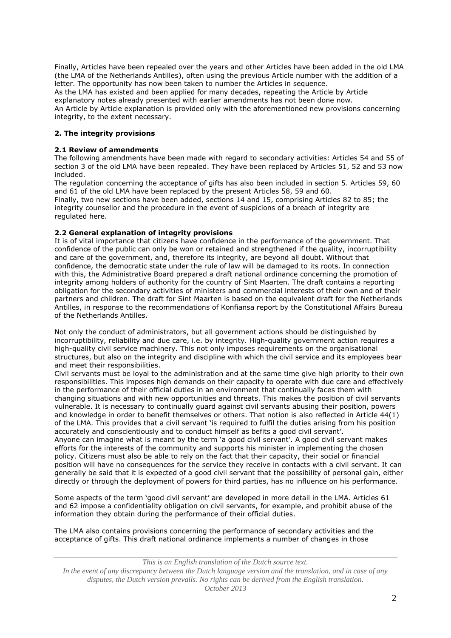Finally, Articles have been repealed over the years and other Articles have been added in the old LMA (the LMA of the Netherlands Antilles), often using the previous Article number with the addition of a letter. The opportunity has now been taken to number the Articles in sequence.

As the LMA has existed and been applied for many decades, repeating the Article by Article explanatory notes already presented with earlier amendments has not been done now. An Article by Article explanation is provided only with the aforementioned new provisions concerning integrity, to the extent necessary.

## **2. The integrity provisions**

#### **2.1 Review of amendments**

The following amendments have been made with regard to secondary activities: Articles 54 and 55 of section 3 of the old LMA have been repealed. They have been replaced by Articles 51, 52 and 53 now included.

The regulation concerning the acceptance of gifts has also been included in section 5. Articles 59, 60 and 61 of the old LMA have been replaced by the present Articles 58, 59 and 60.

Finally, two new sections have been added, sections 14 and 15, comprising Articles 82 to 85; the integrity counsellor and the procedure in the event of suspicions of a breach of integrity are regulated here.

### **2.2 General explanation of integrity provisions**

It is of vital importance that citizens have confidence in the performance of the government. That confidence of the public can only be won or retained and strengthened if the quality, incorruptibility and care of the government, and, therefore its integrity, are beyond all doubt. Without that confidence, the democratic state under the rule of law will be damaged to its roots. In connection with this, the Administrative Board prepared a draft national ordinance concerning the promotion of integrity among holders of authority for the country of Sint Maarten. The draft contains a reporting obligation for the secondary activities of ministers and commercial interests of their own and of their partners and children. The draft for Sint Maarten is based on the equivalent draft for the Netherlands Antilles, in response to the recommendations of Konfiansa report by the Constitutional Affairs Bureau of the Netherlands Antilles.

Not only the conduct of administrators, but all government actions should be distinguished by incorruptibility, reliability and due care, i.e. by integrity. High-quality government action requires a high-quality civil service machinery. This not only imposes requirements on the organisational structures, but also on the integrity and discipline with which the civil service and its employees bear and meet their responsibilities.

Civil servants must be loyal to the administration and at the same time give high priority to their own responsibilities. This imposes high demands on their capacity to operate with due care and effectively in the performance of their official duties in an environment that continually faces them with changing situations and with new opportunities and threats. This makes the position of civil servants vulnerable. It is necessary to continually guard against civil servants abusing their position, powers and knowledge in order to benefit themselves or others. That notion is also reflected in Article 44(1) of the LMA. This provides that a civil servant 'is required to fulfil the duties arising from his position accurately and conscientiously and to conduct himself as befits a good civil servant'.

Anyone can imagine what is meant by the term 'a good civil servant'. A good civil servant makes efforts for the interests of the community and supports his minister in implementing the chosen policy. Citizens must also be able to rely on the fact that their capacity, their social or financial position will have no consequences for the service they receive in contacts with a civil servant. It can generally be said that it is expected of a good civil servant that the possibility of personal gain, either directly or through the deployment of powers for third parties, has no influence on his performance.

Some aspects of the term 'good civil servant' are developed in more detail in the LMA. Articles 61 and 62 impose a confidentiality obligation on civil servants, for example, and prohibit abuse of the information they obtain during the performance of their official duties.

The LMA also contains provisions concerning the performance of secondary activities and the acceptance of gifts. This draft national ordinance implements a number of changes in those

*This is an English translation of the Dutch source text. In the event of any discrepancy between the Dutch language version and the translation, and in case of any disputes, the Dutch version prevails. No rights can be derived from the English translation. October 2013*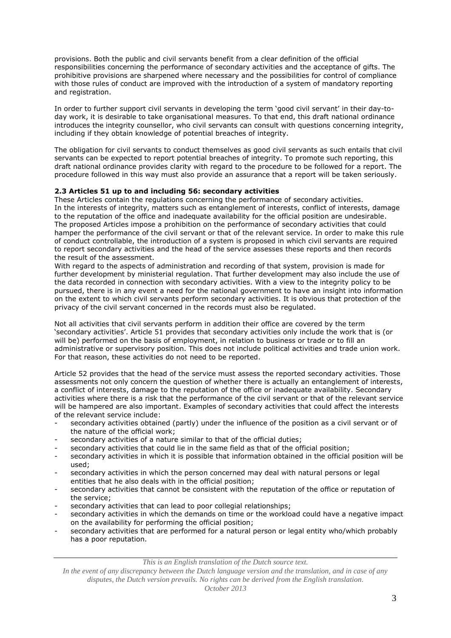provisions. Both the public and civil servants benefit from a clear definition of the official responsibilities concerning the performance of secondary activities and the acceptance of gifts. The prohibitive provisions are sharpened where necessary and the possibilities for control of compliance with those rules of conduct are improved with the introduction of a system of mandatory reporting and registration.

In order to further support civil servants in developing the term 'good civil servant' in their day-today work, it is desirable to take organisational measures. To that end, this draft national ordinance introduces the integrity counsellor, who civil servants can consult with questions concerning integrity, including if they obtain knowledge of potential breaches of integrity.

The obligation for civil servants to conduct themselves as good civil servants as such entails that civil servants can be expected to report potential breaches of integrity. To promote such reporting, this draft national ordinance provides clarity with regard to the procedure to be followed for a report. The procedure followed in this way must also provide an assurance that a report will be taken seriously.

# **2.3 Articles 51 up to and including 56: secondary activities**

These Articles contain the regulations concerning the performance of secondary activities. In the interests of integrity, matters such as entanglement of interests, conflict of interests, damage to the reputation of the office and inadequate availability for the official position are undesirable. The proposed Articles impose a prohibition on the performance of secondary activities that could hamper the performance of the civil servant or that of the relevant service. In order to make this rule of conduct controllable, the introduction of a system is proposed in which civil servants are required to report secondary activities and the head of the service assesses these reports and then records the result of the assessment.

With regard to the aspects of administration and recording of that system, provision is made for further development by ministerial regulation. That further development may also include the use of the data recorded in connection with secondary activities. With a view to the integrity policy to be pursued, there is in any event a need for the national government to have an insight into information on the extent to which civil servants perform secondary activities. It is obvious that protection of the privacy of the civil servant concerned in the records must also be regulated.

Not all activities that civil servants perform in addition their office are covered by the term 'secondary activities'. Article 51 provides that secondary activities only include the work that is (or will be) performed on the basis of employment, in relation to business or trade or to fill an administrative or supervisory position. This does not include political activities and trade union work. For that reason, these activities do not need to be reported.

Article 52 provides that the head of the service must assess the reported secondary activities. Those assessments not only concern the question of whether there is actually an entanglement of interests, a conflict of interests, damage to the reputation of the office or inadequate availability. Secondary activities where there is a risk that the performance of the civil servant or that of the relevant service will be hampered are also important. Examples of secondary activities that could affect the interests of the relevant service include:

- secondary activities obtained (partly) under the influence of the position as a civil servant or of the nature of the official work;
- secondary activities of a nature similar to that of the official duties;
- secondary activities that could lie in the same field as that of the official position;
- secondary activities in which it is possible that information obtained in the official position will be used;
- secondary activities in which the person concerned may deal with natural persons or legal entities that he also deals with in the official position;
- secondary activities that cannot be consistent with the reputation of the office or reputation of the service;
- secondary activities that can lead to poor collegial relationships;
- secondary activities in which the demands on time or the workload could have a negative impact on the availability for performing the official position;
- secondary activities that are performed for a natural person or legal entity who/which probably has a poor reputation.

*This is an English translation of the Dutch source text.*

*In the event of any discrepancy between the Dutch language version and the translation, and in case of any disputes, the Dutch version prevails. No rights can be derived from the English translation.*

*October 2013*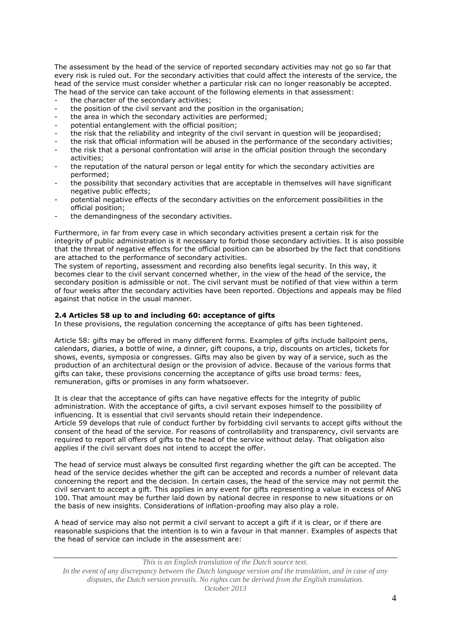The assessment by the head of the service of reported secondary activities may not go so far that every risk is ruled out. For the secondary activities that could affect the interests of the service, the head of the service must consider whether a particular risk can no longer reasonably be accepted. The head of the service can take account of the following elements in that assessment:

- the character of the secondary activities;
- the position of the civil servant and the position in the organisation;
- the area in which the secondary activities are performed;
- potential entanglement with the official position;
- the risk that the reliability and integrity of the civil servant in question will be jeopardised;
- the risk that official information will be abused in the performance of the secondary activities;
- the risk that a personal confrontation will arise in the official position through the secondary activities;
- the reputation of the natural person or legal entity for which the secondary activities are performed;
- the possibility that secondary activities that are acceptable in themselves will have significant negative public effects;
- potential negative effects of the secondary activities on the enforcement possibilities in the official position;
- the demandingness of the secondary activities.

Furthermore, in far from every case in which secondary activities present a certain risk for the integrity of public administration is it necessary to forbid those secondary activities. It is also possible that the threat of negative effects for the official position can be absorbed by the fact that conditions are attached to the performance of secondary activities.

The system of reporting, assessment and recording also benefits legal security. In this way, it becomes clear to the civil servant concerned whether, in the view of the head of the service, the secondary position is admissible or not. The civil servant must be notified of that view within a term of four weeks after the secondary activities have been reported. Objections and appeals may be filed against that notice in the usual manner.

## **2.4 Articles 58 up to and including 60: acceptance of gifts**

In these provisions, the regulation concerning the acceptance of gifts has been tightened.

Article 58: gifts may be offered in many different forms. Examples of gifts include ballpoint pens, calendars, diaries, a bottle of wine, a dinner, gift coupons, a trip, discounts on articles, tickets for shows, events, symposia or congresses. Gifts may also be given by way of a service, such as the production of an architectural design or the provision of advice. Because of the various forms that gifts can take, these provisions concerning the acceptance of gifts use broad terms: fees, remuneration, gifts or promises in any form whatsoever.

It is clear that the acceptance of gifts can have negative effects for the integrity of public administration. With the acceptance of gifts, a civil servant exposes himself to the possibility of influencing. It is essential that civil servants should retain their independence. Article 59 develops that rule of conduct further by forbidding civil servants to accept gifts without the consent of the head of the service. For reasons of controllability and transparency, civil servants are required to report all offers of gifts to the head of the service without delay. That obligation also applies if the civil servant does not intend to accept the offer.

The head of service must always be consulted first regarding whether the gift can be accepted. The head of the service decides whether the gift can be accepted and records a number of relevant data concerning the report and the decision. In certain cases, the head of the service may not permit the civil servant to accept a gift. This applies in any event for gifts representing a value in excess of ANG 100. That amount may be further laid down by national decree in response to new situations or on the basis of new insights. Considerations of inflation-proofing may also play a role.

A head of service may also not permit a civil servant to accept a gift if it is clear, or if there are reasonable suspicions that the intention is to win a favour in that manner. Examples of aspects that the head of service can include in the assessment are:

*This is an English translation of the Dutch source text. In the event of any discrepancy between the Dutch language version and the translation, and in case of any disputes, the Dutch version prevails. No rights can be derived from the English translation. October 2013*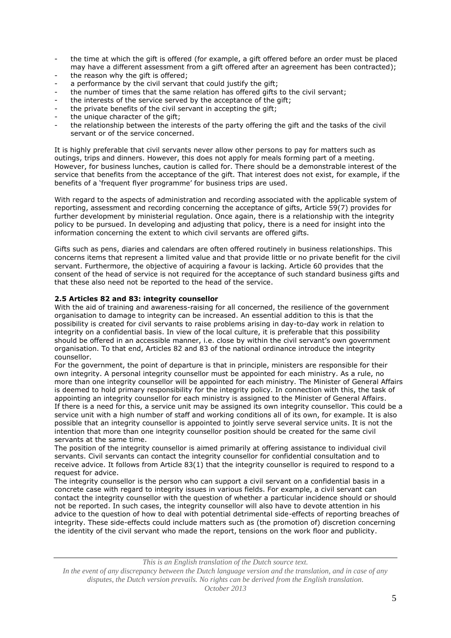- the time at which the gift is offered (for example, a gift offered before an order must be placed may have a different assessment from a gift offered after an agreement has been contracted);
- the reason why the gift is offered;
- a performance by the civil servant that could justify the gift;
- the number of times that the same relation has offered gifts to the civil servant;
- the interests of the service served by the acceptance of the gift;
- the private benefits of the civil servant in accepting the gift;
- the unique character of the gift;
- the relationship between the interests of the party offering the gift and the tasks of the civil servant or of the service concerned.

It is highly preferable that civil servants never allow other persons to pay for matters such as outings, trips and dinners. However, this does not apply for meals forming part of a meeting. However, for business lunches, caution is called for. There should be a demonstrable interest of the service that benefits from the acceptance of the gift. That interest does not exist, for example, if the benefits of a 'frequent flyer programme' for business trips are used.

With regard to the aspects of administration and recording associated with the applicable system of reporting, assessment and recording concerning the acceptance of gifts, Article 59(7) provides for further development by ministerial regulation. Once again, there is a relationship with the integrity policy to be pursued. In developing and adjusting that policy, there is a need for insight into the information concerning the extent to which civil servants are offered gifts.

Gifts such as pens, diaries and calendars are often offered routinely in business relationships. This concerns items that represent a limited value and that provide little or no private benefit for the civil servant. Furthermore, the objective of acquiring a favour is lacking. Article 60 provides that the consent of the head of service is not required for the acceptance of such standard business gifts and that these also need not be reported to the head of the service.

### **2.5 Articles 82 and 83: integrity counsellor**

With the aid of training and awareness-raising for all concerned, the resilience of the government organisation to damage to integrity can be increased. An essential addition to this is that the possibility is created for civil servants to raise problems arising in day-to-day work in relation to integrity on a confidential basis. In view of the local culture, it is preferable that this possibility should be offered in an accessible manner, i.e. close by within the civil servant's own government organisation. To that end, Articles 82 and 83 of the national ordinance introduce the integrity counsellor.

For the government, the point of departure is that in principle, ministers are responsible for their own integrity. A personal integrity counsellor must be appointed for each ministry. As a rule, no more than one integrity counsellor will be appointed for each ministry. The Minister of General Affairs is deemed to hold primary responsibility for the integrity policy. In connection with this, the task of appointing an integrity counsellor for each ministry is assigned to the Minister of General Affairs. If there is a need for this, a service unit may be assigned its own integrity counsellor. This could be a service unit with a high number of staff and working conditions all of its own, for example. It is also possible that an integrity counsellor is appointed to jointly serve several service units. It is not the intention that more than one integrity counsellor position should be created for the same civil servants at the same time.

The position of the integrity counsellor is aimed primarily at offering assistance to individual civil servants. Civil servants can contact the integrity counsellor for confidential consultation and to receive advice. It follows from Article 83(1) that the integrity counsellor is required to respond to a request for advice.

The integrity counsellor is the person who can support a civil servant on a confidential basis in a concrete case with regard to integrity issues in various fields. For example, a civil servant can contact the integrity counsellor with the question of whether a particular incidence should or should not be reported. In such cases, the integrity counsellor will also have to devote attention in his advice to the question of how to deal with potential detrimental side-effects of reporting breaches of integrity. These side-effects could include matters such as (the promotion of) discretion concerning the identity of the civil servant who made the report, tensions on the work floor and publicity.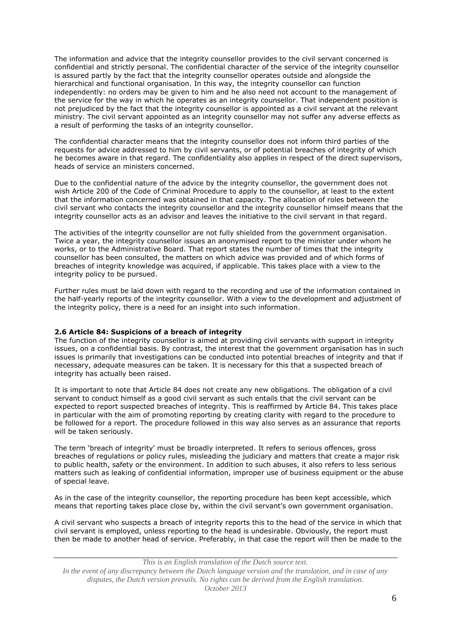The information and advice that the integrity counsellor provides to the civil servant concerned is confidential and strictly personal. The confidential character of the service of the integrity counsellor is assured partly by the fact that the integrity counsellor operates outside and alongside the hierarchical and functional organisation. In this way, the integrity counsellor can function independently: no orders may be given to him and he also need not account to the management of the service for the way in which he operates as an integrity counsellor. That independent position is not prejudiced by the fact that the integrity counsellor is appointed as a civil servant at the relevant ministry. The civil servant appointed as an integrity counsellor may not suffer any adverse effects as a result of performing the tasks of an integrity counsellor.

The confidential character means that the integrity counsellor does not inform third parties of the requests for advice addressed to him by civil servants, or of potential breaches of integrity of which he becomes aware in that regard. The confidentiality also applies in respect of the direct supervisors, heads of service an ministers concerned.

Due to the confidential nature of the advice by the integrity counsellor, the government does not wish Article 200 of the Code of Criminal Procedure to apply to the counsellor, at least to the extent that the information concerned was obtained in that capacity. The allocation of roles between the civil servant who contacts the integrity counsellor and the integrity counsellor himself means that the integrity counsellor acts as an advisor and leaves the initiative to the civil servant in that regard.

The activities of the integrity counsellor are not fully shielded from the government organisation. Twice a year, the integrity counsellor issues an anonymised report to the minister under whom he works, or to the Administrative Board. That report states the number of times that the integrity counsellor has been consulted, the matters on which advice was provided and of which forms of breaches of integrity knowledge was acquired, if applicable. This takes place with a view to the integrity policy to be pursued.

Further rules must be laid down with regard to the recording and use of the information contained in the half-yearly reports of the integrity counsellor. With a view to the development and adjustment of the integrity policy, there is a need for an insight into such information.

#### **2.6 Article 84: Suspicions of a breach of integrity**

The function of the integrity counsellor is aimed at providing civil servants with support in integrity issues, on a confidential basis. By contrast, the interest that the government organisation has in such issues is primarily that investigations can be conducted into potential breaches of integrity and that if necessary, adequate measures can be taken. It is necessary for this that a suspected breach of integrity has actually been raised.

It is important to note that Article 84 does not create any new obligations. The obligation of a civil servant to conduct himself as a good civil servant as such entails that the civil servant can be expected to report suspected breaches of integrity. This is reaffirmed by Article 84. This takes place in particular with the aim of promoting reporting by creating clarity with regard to the procedure to be followed for a report. The procedure followed in this way also serves as an assurance that reports will be taken seriously.

The term 'breach of integrity' must be broadly interpreted. It refers to serious offences, gross breaches of regulations or policy rules, misleading the judiciary and matters that create a major risk to public health, safety or the environment. In addition to such abuses, it also refers to less serious matters such as leaking of confidential information, improper use of business equipment or the abuse of special leave.

As in the case of the integrity counsellor, the reporting procedure has been kept accessible, which means that reporting takes place close by, within the civil servant's own government organisation.

A civil servant who suspects a breach of integrity reports this to the head of the service in which that civil servant is employed, unless reporting to the head is undesirable. Obviously, the report must then be made to another head of service. Preferably, in that case the report will then be made to the

*This is an English translation of the Dutch source text.*

*In the event of any discrepancy between the Dutch language version and the translation, and in case of any disputes, the Dutch version prevails. No rights can be derived from the English translation. October 2013*